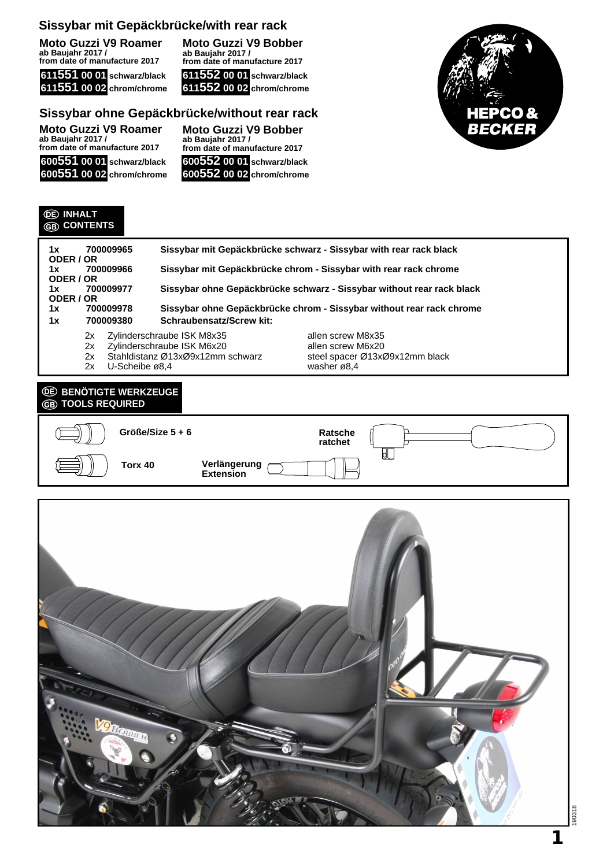**Moto Guzzi V9 Roamer ab Baujahr 2017 / from date of manufacture 2017**

**611551 00 01 schwarz/black 611551 00 02 chrom/chrome**

**Moto Guzzi V9 Bobber ab Baujahr 2017 / from date of manufacture 2017 611552 00 01 schwarz/black 611552 00 02 chrom/chrome**

## **Sissybar ohne Gepäckbrücke/without rear rack**

| <b>Moto Guzzi V9 Roamer</b>                        | <b>Mote</b>     |  |
|----------------------------------------------------|-----------------|--|
| ab Baujahr 2017 /<br>from date of manufacture 2017 | ab Ba<br>from o |  |
| 600551 00 01 schwarz/black                         | 6005            |  |
| 600551 00 02 chrom/chrome                          | 6005            |  |

**Moto Guzzi V9 Bobber ab Baujahr 2017 / from date of manufacture 2017 600552 00 01 schwarz/black 600552 00 02 chrom/chrome**



#### **INHALT CONTENTS**

| 1x<br>ODER / OR | 700009965                                                                         |                                 | Sissybar mit Gepäckbrücke schwarz - Sissybar with rear rack black     |
|-----------------|-----------------------------------------------------------------------------------|---------------------------------|-----------------------------------------------------------------------|
| 1x<br>ODER / OR | 700009966                                                                         |                                 | Sissybar mit Gepäckbrücke chrom - Sissybar with rear rack chrome      |
| 1x<br>ODER / OR | 700009977                                                                         |                                 | Sissybar ohne Gepäckbrücke schwarz - Sissybar without rear rack black |
| 1x              | Sissybar ohne Gepäckbrücke chrom - Sissybar without rear rack chrome<br>700009978 |                                 |                                                                       |
| 700009380<br>1x |                                                                                   | <b>Schraubensatz/Screw kit:</b> |                                                                       |
|                 | 2x                                                                                | Zylinderschraube ISK M8x35      | allen screw M8x35                                                     |

- 
- 2x Stahldistanz Ø13xØ9x12mm schwarz<br>2x U-Scheibe ø8.4
- 
- 2x Zylinderschraube ISK M6x20 allen screw M6x20<br>2x Stahldistanz Ø13xØ9x12mm schwarz steel spacer Ø13xØ9x12mm black U-Scheibe ø8,4 washer ø8,4

## *<b>BENÖTIGTE WERKZEUGE* **TOOLS REQUIRED**



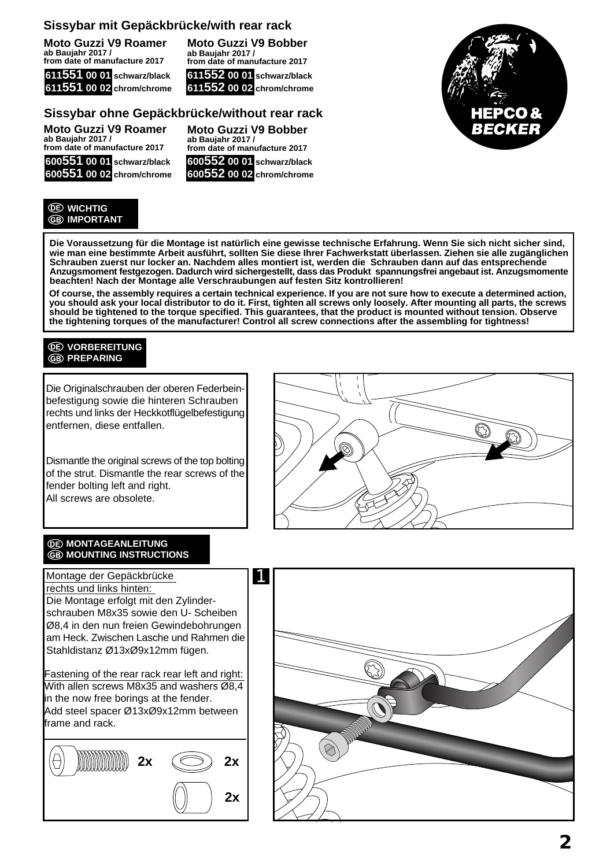**Moto Guzzi V9 Roamer ab Baujahr 2017 / from date of manufacture 2017**



**Moto Guzzi V9 Bobber ab Baujahr 2017 / from date of manufacture 2017 611552 00 01 schwarz/black 611552 00 02 chrom/chrome**

**Moto Guzzi V9 Bobber**

**from date of manufacture 2017 600552 00 01 schwarz/black 600552 00 02 chrom/chrome**

**ab Baujahr 2017 /**

## **Sissybar ohne Gepäckbrücke/without rear rack**

**Moto Guzzi V9 Roamer ab Baujahr 2017 / from date of manufacture 2017 600551 00 01 schwarz/black**

**600551 00 02 chrom/chrome**

#### **WICHTIG GB** IMPORTANT

**Die Voraussetzung für die Montage ist natürlich eine gewisse technische Erfahrung. Wenn Sie sich nicht sicher sind, wie man eine bestimmte Arbeit ausführt, sollten Sie diese Ihrer Fachwerkstatt überlassen. Ziehen sie alle zugänglichen Schrauben zuerst nur locker an. Nachdem alles montiert ist, werden die Schrauben dann auf das entsprechende Anzugsmoment festgezogen. Dadurch wird sichergestellt, dass das Produkt spannungsfrei angebaut ist. Anzugsmomente beachten! Nach der Montage alle Verschraubungen auf festen Sitz kontrollieren!**

**Of course, the assembly requires a certain technical experience. If you are not sure how to execute a determined action, you should ask your local distributor to do it. First, tighten all screws only loosely. After mounting all parts, the screws should be tightened to the torque specified. This guarantees, that the product is mounted without tension. Observe the tightening torques of the manufacturer! Control all screw connections after the assembling for tightness!**

### **VORBEREITUNG GB PREPARING**

Die Originalschrauben der oberen Federbeinbefestigung sowie die hinteren Schrauben rechts und links der Heckkotflügelbefestigung entfernen, diese entfallen.

Dismantle the original screws of the top bolting of the strut. Dismantle the rear screws of the fender bolting left and right. All screws are obsolete.



#### *<u>OD</u>* MONTAGEANLEITUNG **MOUNTING INSTRUCTIONS**

Montage der Gepäckbrücke rechts und links hinten: Die Montage erfolgt mit den Zylinderschrauben M8x35 sowie den U- Scheiben Ø8,4 in den nun freien Gewindebohrungen am Heck. Zwischen Lasche und Rahmen die Stahldistanz Ø13xØ9x12mm fügen.

Fastening of the rear rack rear left and right: With allen screws M8x35 and washers Ø8,4 in the now free borings at the fender. Add steel spacer Ø13xØ9x12mm between frame and rack.





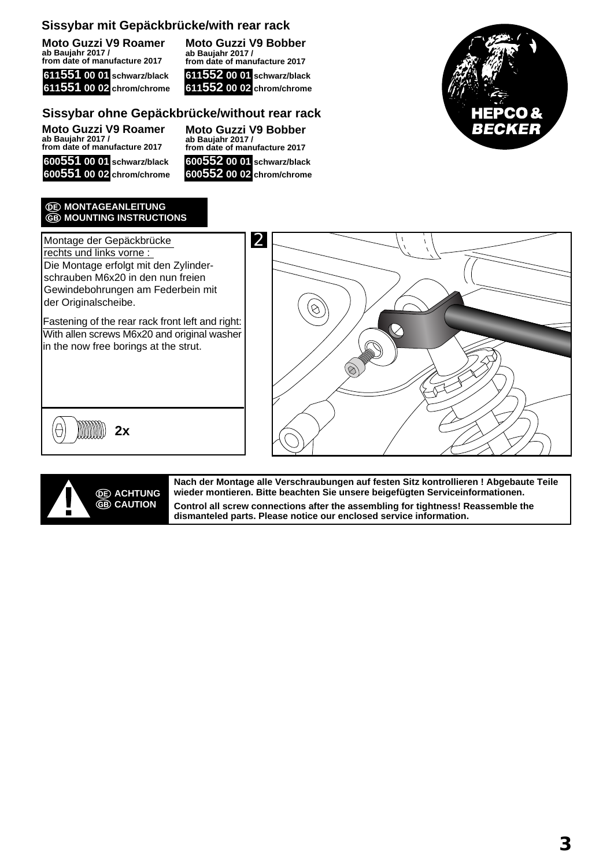**Moto Guzzi V9 Roamer ab Baujahr 2017 / from date of manufacture 2017**

|  | 611551 00 01 schwarz/black |
|--|----------------------------|
|  | 611551 00 02 chrom/chrome  |

**Moto Guzzi V9 Bobber ab Baujahr 2017 / from date of manufacture 2017 611552 00 01 schwarz/black 611552 00 02 chrom/chrome**

# **Sissybar ohne Gepäckbrücke/without rear rack**

**Moto Guzzi V9 Roamer ab Baujahr 2017 / from date of manufacture 2017 600551 00 01 schwarz/black 600551 00 02 chrom/chrome**

**Moto Guzzi V9 Bobber ab Baujahr 2017 / from date of manufacture 2017 600552 00 01 schwarz/black 600552 00 02 chrom/chrome**



#### *C***E** MONTAGEANLEITUNG **B** MOUNTING INSTRUCTIONS

Montage der Gepäckbrücke rechts und links vorne : Die Montage erfolgt mit den Zylinderschrauben M6x20 in den nun freien Gewindebohrungen am Federbein mit der Originalscheibe.

Fastening of the rear rack front left and right: With allen screws M6x20 and original washer in the now free borings at the strut.







**Nach der Montage alle Verschraubungen auf festen Sitz kontrollieren ! Abgebaute Teile wieder montieren. Bitte beachten Sie unsere beigefügten Serviceinformationen. Control all screw connections after the assembling for tightness! Reassemble the dismanteled parts. Please notice our enclosed service information.**